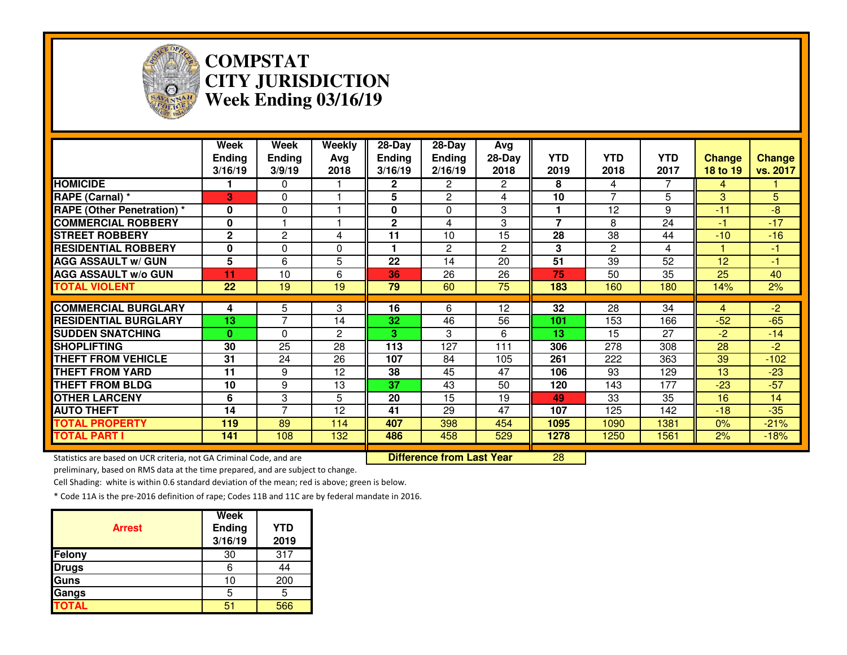

### **COMPSTAT CITY JURISDICTIONWeek Ending 03/16/19**

|                                                                     | Week<br>Ending<br>3/16/19 | Week<br><b>Ending</b><br>3/9/19 | Weekly<br>Avg<br>2018 | 28-Day<br><b>Ending</b><br>3/16/19 | 28-Day<br><b>Ending</b><br>2/16/19 | Avg<br>$28-Day$<br>2018 | <b>YTD</b><br>2019      | <b>YTD</b><br>2018 | <b>YTD</b><br>2017 | <b>Change</b><br>18 to 19 | Change<br>vs. 2017 |
|---------------------------------------------------------------------|---------------------------|---------------------------------|-----------------------|------------------------------------|------------------------------------|-------------------------|-------------------------|--------------------|--------------------|---------------------------|--------------------|
| <b>HOMICIDE</b>                                                     |                           | 0                               |                       | 2                                  | $\overline{2}$                     | $\overline{2}$          | 8                       | 4                  | 7                  | 4                         |                    |
| RAPE (Carnal) *                                                     | 3                         | $\Omega$                        |                       | 5                                  | $\overline{2}$                     | 4                       | 10                      | 7                  | 5                  | 3                         | 5                  |
| <b>RAPE (Other Penetration)</b> *                                   | $\bf{0}$                  | 0                               |                       | 0                                  | 0                                  | 3                       |                         | 12                 | 9                  | $-11$                     | -8                 |
| <b>COMMERCIAL ROBBERY</b>                                           | 0                         |                                 |                       | 2                                  | 4                                  | 3                       | $\overline{\mathbf{z}}$ | 8                  | 24                 | $-1$                      | $-17$              |
| <b>STREET ROBBERY</b>                                               | $\mathbf{2}$              | $\mathbf{2}$                    | 4                     | 11                                 | 10                                 | 15                      | 28                      | 38                 | 44                 | $-10$                     | $-16$              |
| <b>RESIDENTIAL ROBBERY</b>                                          | $\bf{0}$                  | 0                               | $\Omega$              |                                    | $\overline{2}$                     | $\mathbf{2}$            | 3                       | $\overline{c}$     | 4                  |                           | $-1$               |
| <b>AGG ASSAULT w/ GUN</b>                                           | 5                         | 6                               | 5                     | 22                                 | 14                                 | 20                      | 51                      | 39                 | 52                 | 12                        | $-1$               |
| <b>AGG ASSAULT w/o GUN</b>                                          | 11                        | 10                              | 6                     | 36                                 | $\overline{26}$                    | $\overline{26}$         | 75                      | 50                 | $\overline{35}$    | $\overline{25}$           | 40                 |
| <b>TOTAL VIOLENT</b>                                                | 22                        | 19                              | 19                    | 79                                 | 60                                 | 75                      | 183                     | 160                | 180                | 14%                       | 2%                 |
| <b>COMMERCIAL BURGLARY</b>                                          | 4                         | 5                               | 3                     | 16                                 | 6                                  | 12                      | 32                      | 28                 | 34                 | 4                         | $-2$               |
| <b>RESIDENTIAL BURGLARY</b>                                         | 13                        | 7                               | 14                    | 32                                 | 46                                 | 56                      | 101                     | 153                | 166                | $-52$                     | $-65$              |
| <b>SUDDEN SNATCHING</b>                                             | $\mathbf{0}$              | $\Omega$                        | 2                     | 3.                                 | 3                                  | 6                       | 13                      | 15                 | 27                 | $-2$                      | $-14$              |
| <b>SHOPLIFTING</b>                                                  | 30                        | 25                              | 28                    | 113                                | 127                                | 111                     | 306                     | 278                | 308                | 28                        | $-2$               |
| <b>THEFT FROM VEHICLE</b>                                           | 31                        | 24                              | 26                    | 107                                | 84                                 | 105                     | 261                     | 222                | 363                | 39                        | $-102$             |
| <b>THEFT FROM YARD</b>                                              | 11                        | 9                               | 12                    | 38                                 | 45                                 | 47                      | 106                     | 93                 | 129                | 13                        | $-23$              |
| <b>THEFT FROM BLDG</b>                                              | 10                        | 9                               | 13                    | 37                                 | 43                                 | 50                      | 120                     | 143                | 177                | $-23$                     | $-57$              |
| <b>OTHER LARCENY</b>                                                | 6                         | 3                               | 5                     | 20                                 | 15                                 | 19                      | 49                      | 33                 | 35                 | 16                        | 14                 |
| <b>AUTO THEFT</b>                                                   | 14                        | $\overline{7}$                  | $\overline{12}$       | 41                                 | 29                                 | 47                      | 107                     | 125                | 142                | $-18$                     | $-35$              |
| <b>TOTAL PROPERTY</b>                                               | 119                       | 89                              | 114                   | 407                                | 398                                | 454                     | 1095                    | 1090               | 1381               | 0%                        | $-21%$             |
| <b>TOTAL PART I</b>                                                 | 141                       | 108                             | 132                   | 486                                | 458                                | 529                     | 1278                    | 1250               | 1561               | 2%                        | $-18%$             |
| Statistics are based on UCR criteria, not GA Criminal Code, and are |                           |                                 |                       |                                    | <b>Difference from Last Year</b>   |                         | $\overline{28}$         |                    |                    |                           |                    |

Statistics are based on UCR criteria, not GA Criminal Code, and are **Difference from Last Year** 

preliminary, based on RMS data at the time prepared, and are subject to change.

Cell Shading: white is within 0.6 standard deviation of the mean; red is above; green is below.

| <b>Arrest</b> | Week<br><b>Ending</b><br>3/16/19 | <b>YTD</b><br>2019 |
|---------------|----------------------------------|--------------------|
| Felony        | 30                               | 317                |
| <b>Drugs</b>  | 6                                | 44                 |
| Guns          | 10                               | 200                |
| Gangs         | 5                                | 5                  |
| <b>TOTAL</b>  | 51                               | 566                |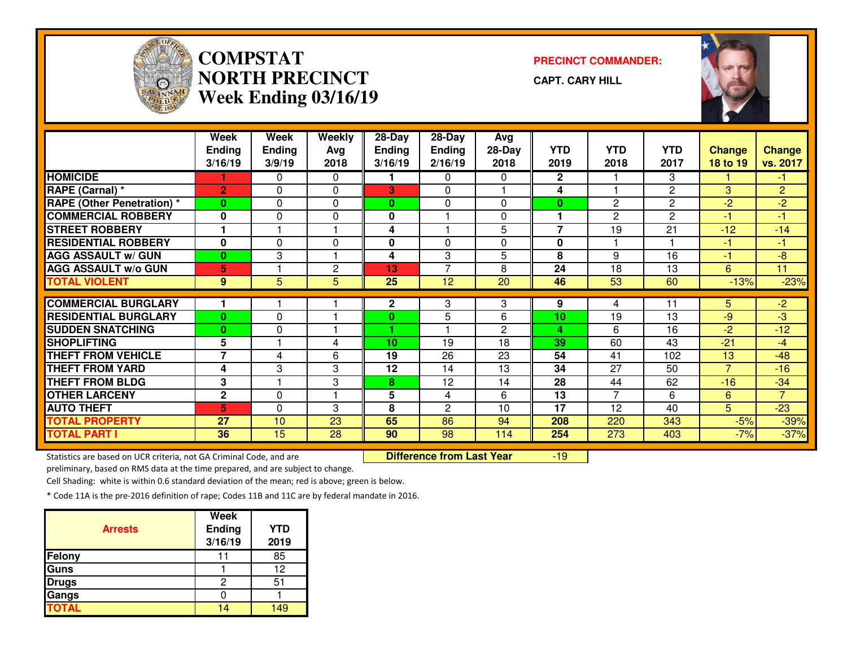

## **COMPSTATNORTH PRECINCTWeek Ending 03/16/19**

**PRECINCT COMMANDER:**

**CAPT. CARY HILL**



|                                                                     | Week                     | Week          | Weekly         | 28-Day        | 28-Day                           | Avg          |                |                |                 |                         |                |
|---------------------------------------------------------------------|--------------------------|---------------|----------------|---------------|----------------------------------|--------------|----------------|----------------|-----------------|-------------------------|----------------|
|                                                                     | <b>Ending</b>            | <b>Ending</b> | Avg            | <b>Ending</b> | <b>Ending</b>                    | $28-Day$     | <b>YTD</b>     | <b>YTD</b>     | <b>YTD</b>      | <b>Change</b>           | <b>Change</b>  |
|                                                                     | 3/16/19                  | 3/9/19        | 2018           | 3/16/19       | 2/16/19                          | 2018         | 2019           | 2018           | 2017            | 18 to 19                | vs. 2017       |
| <b>HOMICIDE</b>                                                     |                          | 0             | $\Omega$       |               | $\Omega$                         | 0            | $\overline{2}$ |                | 3               |                         | -1             |
| RAPE (Carnal) *                                                     | $\overline{2}$           | 0             | $\mathbf{0}$   | 3             | $\Omega$                         |              | 4              |                | $\overline{2}$  | 3                       | $\overline{2}$ |
| <b>RAPE (Other Penetration)</b> *                                   | $\bf{0}$                 | $\Omega$      | $\Omega$       | $\mathbf{0}$  | $\Omega$                         | 0            | $\bf{0}$       | $\overline{c}$ | $\overline{2}$  | $-2$                    | $-2$           |
| <b>COMMERCIAL ROBBERY</b>                                           | $\mathbf 0$              | 0             | $\Omega$       | 0             |                                  | 0            | 1              | $\overline{c}$ | $\overline{2}$  | $\overline{\mathbf{1}}$ | $-1$           |
| <b>STREET ROBBERY</b>                                               |                          |               |                | 4             |                                  | 5            | $\overline{7}$ | 19             | 21              | $-12$                   | $-14$          |
| <b>RESIDENTIAL ROBBERY</b>                                          | 0                        | 0             | 0              | 0             | 0                                | 0            | $\mathbf 0$    |                |                 | -1                      | -1             |
| <b>AGG ASSAULT w/ GUN</b>                                           | $\mathbf{0}$             | 3             |                | 4             | 3                                | 5            | 8              | 9              | $\overline{16}$ | $-1$                    | -8             |
| <b>AGG ASSAULT w/o GUN</b>                                          | 5                        |               | $\overline{c}$ | 13            | $\overline{7}$                   | 8            | 24             | 18             | 13              | 6                       | 11             |
| <b>TOTAL VIOLENT</b>                                                | $9^{\circ}$              | 5             | 5              | 25            | 12                               | 20           | 46             | 53             | 60              | $-13%$                  | $-23%$         |
| <b>COMMERCIAL BURGLARY</b>                                          |                          |               |                | $\mathbf{2}$  | 3                                | 3            | 9              | 4              | 11              | 5.                      | $-2$           |
| <b>RESIDENTIAL BURGLARY</b>                                         | $\bf{0}$                 | $\Omega$      |                | $\bf{0}$      | 5                                | 6            | 10             | 19             | 13              | -9                      | $-3$           |
| <b>SUDDEN SNATCHING</b>                                             | $\bf{0}$                 | 0             |                |               |                                  | $\mathbf{2}$ | 4              | 6              | 16              | $-2$                    | $-12$          |
| <b>SHOPLIFTING</b>                                                  | 5                        |               | 4              | 10            | 19                               | 18           | 39             | 60             | 43              | $-21$                   | $-4$           |
| <b>THEFT FROM VEHICLE</b>                                           | $\overline{\phantom{a}}$ | 4             | 6              | 19            | 26                               | 23           | 54             | 41             | 102             | 13                      | $-48$          |
| <b>THEFT FROM YARD</b>                                              | 4                        | 3             | 3              | 12            | 14                               | 13           | 34             | 27             | 50              | $\overline{7}$          | $-16$          |
| <b>THEFT FROM BLDG</b>                                              | 3                        |               | 3              | 8             | 12                               | 14           | 28             | 44             | 62              | $-16$                   | $-34$          |
| <b>OTHER LARCENY</b>                                                | $\mathbf{2}$             | 0             |                | 5             | 4                                | 6            | 13             | 7              | 6               | 6                       | $\overline{7}$ |
| <b>AUTO THEFT</b>                                                   | 5                        | $\Omega$      | 3              | 8             | 2                                | 10           | 17             | 12             | 40              | 5                       | $-23$          |
| <b>TOTAL PROPERTY</b>                                               | 27                       | 10            | 23             | 65            | 86                               | 94           | 208            | 220            | 343             | $-5%$                   | $-39%$         |
| <b>TOTAL PART I</b>                                                 | 36                       | 15            | 28             | 90            | 98                               | 114          | 254            | 273            | 403             | $-7%$                   | $-37%$         |
| Statistics are based on UCR criteria, not GA Criminal Code, and are |                          |               |                |               | <b>Difference from Last Year</b> |              | $-19$          |                |                 |                         |                |

Statistics are based on UCR criteria, not GA Criminal Code, and are **Difference from Last Year** 

preliminary, based on RMS data at the time prepared, and are subject to change.

Cell Shading: white is within 0.6 standard deviation of the mean; red is above; green is below.

|                | <b>Week</b>   |            |
|----------------|---------------|------------|
| <b>Arrests</b> | <b>Ending</b> | <b>YTD</b> |
|                | 3/16/19       | 2019       |
| <b>Felony</b>  |               | 85         |
| Guns           |               | 12         |
| <b>Drugs</b>   |               | 51         |
| Gangs          |               |            |
| <b>TOTAL</b>   |               |            |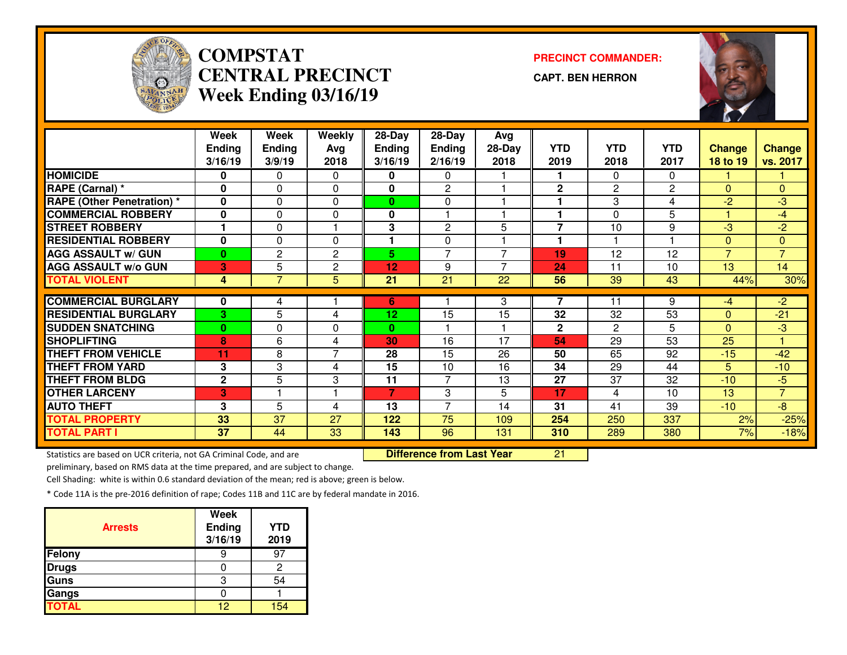

# **COMPSTAT PRECINCT COMMANDER: CENTRAL PRECINCTWeek Ending 03/16/19**

**CAPT. BEN HERRON**



|                                   | Week<br><b>Ending</b><br>3/16/19 | Week<br><b>Ending</b><br>3/9/19 | Weekly<br>Avg<br>2018 | 28-Day<br><b>Ending</b><br>3/16/19 | 28-Day<br><b>Ending</b><br>2/16/19 | Avg<br>$28-Day$<br>2018 | <b>YTD</b><br>2019 | <b>YTD</b><br>2018 | <b>YTD</b><br>2017 | <b>Change</b><br>18 to 19 | <b>Change</b><br>vs. 2017 |
|-----------------------------------|----------------------------------|---------------------------------|-----------------------|------------------------------------|------------------------------------|-------------------------|--------------------|--------------------|--------------------|---------------------------|---------------------------|
| <b>HOMICIDE</b>                   | 0                                | 0                               | $\Omega$              | 0                                  | $\Omega$                           |                         | 1                  | 0                  | $\Omega$           |                           |                           |
| RAPE (Carnal) *                   | 0                                | $\Omega$                        | $\Omega$              | 0                                  | $\overline{c}$                     |                         | $\mathbf{2}$       | $\overline{c}$     | $\mathbf{2}$       | $\Omega$                  | $\overline{0}$            |
| <b>RAPE (Other Penetration)</b> * | 0                                | 0                               | $\Omega$              | 0                                  | 0                                  |                         | 1                  | 3                  | 4                  | $-2$                      | $-3$                      |
| <b>COMMERCIAL ROBBERY</b>         | 0                                | $\Omega$                        | $\Omega$              | 0                                  | $\blacktriangleleft$               |                         | 1                  | 0                  | 5                  |                           | $-4$                      |
| <b>STREET ROBBERY</b>             |                                  | 0                               |                       | 3                                  | $\overline{2}$                     | 5                       | 7                  | 10                 | 9                  | $-3$                      | $-2$                      |
| <b>RESIDENTIAL ROBBERY</b>        | $\mathbf{0}$                     | $\Omega$                        | $\Omega$              | 1                                  | $\Omega$                           |                         | 1                  | 4                  | н                  | $\mathbf{0}$              | $\Omega$                  |
| <b>AGG ASSAULT w/ GUN</b>         | $\bf{0}$                         | $\overline{c}$                  | $\mathbf{2}$          | 5                                  | $\overline{7}$                     | 7                       | 19                 | 12                 | 12                 | $\overline{7}$            | $\overline{7}$            |
| <b>AGG ASSAULT w/o GUN</b>        | 3                                | 5                               | $\mathbf{2}$          | 12                                 | 9                                  | 7                       | 24                 | 11                 | 10                 | 13                        | 14                        |
| <b>TOTAL VIOLENT</b>              | 4                                | $\overline{7}$                  | 5                     | 21                                 | $\overline{21}$                    | $\overline{22}$         | 56                 | $\overline{39}$    | 43                 | 44%                       | 30%                       |
|                                   |                                  |                                 |                       |                                    |                                    |                         |                    |                    |                    |                           |                           |
| <b>COMMERCIAL BURGLARY</b>        | 0                                | 4                               |                       | 6                                  |                                    | 3                       | 7                  | 11                 | 9                  | $-4$                      | $-2$                      |
| <b>RESIDENTIAL BURGLARY</b>       | 3                                | 5                               | 4                     | 12 <sub>2</sub>                    | 15                                 | 15                      | 32                 | 32                 | 53                 | $\Omega$                  | $-21$                     |
| <b>SUDDEN SNATCHING</b>           | $\bf{0}$                         | $\Omega$                        | $\Omega$              | 0                                  |                                    |                         | $\mathbf{2}$       | $\overline{2}$     | 5                  | $\Omega$                  | $-3$                      |
| <b>SHOPLIFTING</b>                | 8                                | 6                               | 4                     | 30                                 | 16                                 | 17                      | 54                 | 29                 | 53                 | 25                        | 1                         |
| <b>THEFT FROM VEHICLE</b>         | 11                               | 8                               | $\overline{7}$        | 28                                 | 15                                 | 26                      | 50                 | 65                 | 92                 | $-15$                     | $-42$                     |
| <b>THEFT FROM YARD</b>            | 3                                | 3                               | 4                     | 15                                 | 10                                 | 16                      | 34                 | 29                 | 44                 | 5                         | $-10$                     |
| <b>THEFT FROM BLDG</b>            | $\mathbf{2}$                     | 5                               | 3                     | 11                                 | 7                                  | 13                      | 27                 | 37                 | 32                 | $-10$                     | $-5$                      |
| <b>OTHER LARCENY</b>              | 3                                |                                 |                       | 7                                  | 3                                  | 5                       | 17                 | 4                  | 10                 | 13                        | $\overline{7}$            |
| <b>AUTO THEFT</b>                 | 3                                | 5                               | 4                     | 13                                 | $\overline{7}$                     | 14                      | 31                 | 41                 | 39                 | $-10$                     | $-8$                      |
| <b>TOTAL PROPERTY</b>             | 33                               | 37                              | 27                    | 122                                | 75                                 | 109                     | 254                | 250                | 337                | 2%                        | $-25%$                    |
| <b>TOTAL PART I</b>               | 37                               | 44                              | 33                    | 143                                | 96                                 | 131                     | 310                | 289                | 380                | 7%                        | $-18%$                    |

Statistics are based on UCR criteria, not GA Criminal Code, and are **Difference from Last Year** 

<sup>21</sup>

preliminary, based on RMS data at the time prepared, and are subject to change.

Cell Shading: white is within 0.6 standard deviation of the mean; red is above; green is below.

| <b>Arrests</b> | <b>Week</b><br>Ending<br>3/16/19 | <b>YTD</b><br>2019 |
|----------------|----------------------------------|--------------------|
| Felony         |                                  | 9.                 |
| <b>Drugs</b>   |                                  |                    |
| <b>Guns</b>    | З                                | 54                 |
| Gangs          |                                  |                    |
| <b>TOTAL</b>   | 12                               | 154                |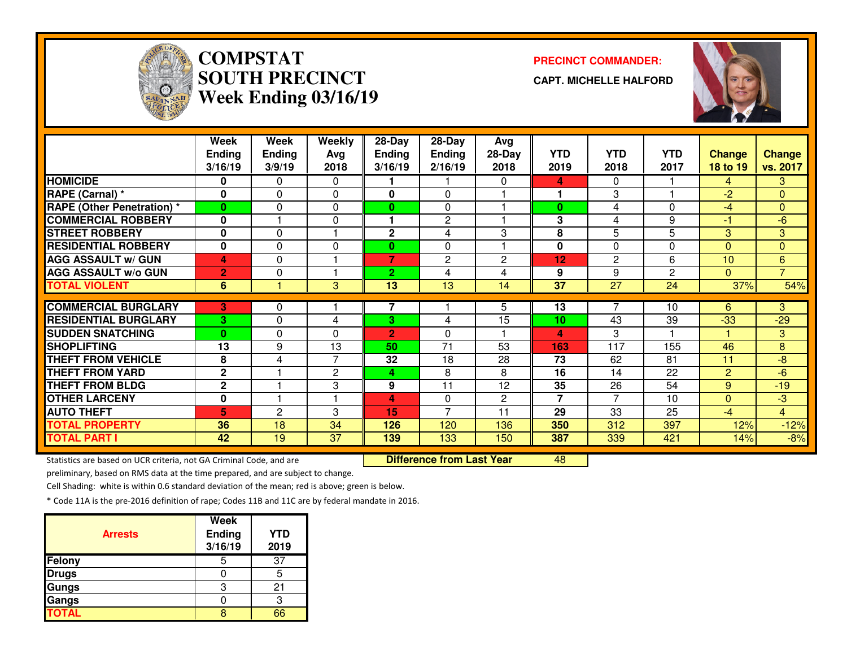

# **COMPSTATSOUTH PRECINCTWeek Ending 03/16/19**

#### **PRECINCT COMMANDER:**

**CAPT. MICHELLE HALFORD**



|                                   | Week           | Week          | Weekly         | 28-Day         | 28-Day          | Avg            |                 |                 |                |                |                |
|-----------------------------------|----------------|---------------|----------------|----------------|-----------------|----------------|-----------------|-----------------|----------------|----------------|----------------|
|                                   | <b>Ending</b>  | <b>Ending</b> | Avg            | <b>Ending</b>  | <b>Ending</b>   | 28-Day         | <b>YTD</b>      | <b>YTD</b>      | <b>YTD</b>     | <b>Change</b>  | <b>Change</b>  |
|                                   | 3/16/19        | 3/9/19        | 2018           | 3/16/19        | 2/16/19         | 2018           | 2019            | 2018            | 2017           | 18 to 19       | vs. 2017       |
| <b>HOMICIDE</b>                   | 0              | 0             | $\bf{0}$       |                |                 | 0              | 4               | 0               |                | 4              | 3              |
| RAPE (Carnal) *                   | $\bf{0}$       | 0             | $\Omega$       | 0              | $\Omega$        |                |                 | 3               |                | $-2$           | $\overline{0}$ |
| <b>RAPE (Other Penetration)</b> * | $\bf{0}$       | 0             | $\Omega$       | $\bf{0}$       | $\Omega$        |                | $\bf{0}$        | 4               | $\Omega$       | $-4$           | $\overline{0}$ |
| <b>COMMERCIAL ROBBERY</b>         | 0              |               | $\mathbf 0$    |                | $\mathbf{2}$    |                | 3               | 4               | 9              | -1             | $-6$           |
| <b>STREET ROBBERY</b>             | 0              | 0             |                | $\mathbf{2}$   | 4               | 3              | 8               | 5               | 5              | 3              | 3              |
| <b>RESIDENTIAL ROBBERY</b>        | 0              | 0             | 0              | $\bf{0}$       | 0               |                | 0               | $\Omega$        | $\Omega$       | $\Omega$       | $\overline{0}$ |
| <b>AGG ASSAULT w/ GUN</b>         | 4              | 0             |                | 7              | $\overline{c}$  | $\overline{2}$ | 12              | $\mathbf{2}$    | 6              | 10             | $6\phantom{a}$ |
| <b>AGG ASSAULT W/o GUN</b>        | $\overline{2}$ | 0             | ٠              | $\overline{2}$ | 4               | 4              | 9               | 9               | $\overline{c}$ | $\overline{0}$ | $\overline{7}$ |
| <b>TOTAL VIOLENT</b>              | 6              |               | 3              | 13             | 13              | 14             | $\overline{37}$ | $\overline{27}$ | 24             | 37%            | 54%            |
|                                   |                |               |                |                |                 |                |                 |                 |                |                |                |
| <b>COMMERCIAL BURGLARY</b>        | 3              | 0             |                | 7              |                 | 5              | 13              |                 | 10             | 6              | 3              |
| <b>RESIDENTIAL BURGLARY</b>       | 3              | 0             | 4              | 3              | 4               | 15             | 10              | 43              | 39             | $-33$          | $-29$          |
| <b>SUDDEN SNATCHING</b>           | $\bf{0}$       | 0             | $\Omega$       | 2              | $\Omega$        |                | 4               | 3               |                |                | 3              |
| <b>SHOPLIFTING</b>                | 13             | 9             | 13             | 50             | $\overline{71}$ | 53             | 163             | 117             | 155            | 46             | 8              |
| <b>THEFT FROM VEHICLE</b>         | 8              | 4             | $\overline{7}$ | 32             | 18              | 28             | 73              | 62              | 81             | 11             | $-8$           |
| <b>THEFT FROM YARD</b>            | $\mathbf{2}$   |               | 2              | 4              | 8               | 8              | 16              | 14              | 22             | $\overline{2}$ | -6             |
| <b>THEFT FROM BLDG</b>            | $\mathbf 2$    |               | 3              | 9              | 11              | 12             | 35              | 26              | 54             | 9              | $-19$          |
| <b>OTHER LARCENY</b>              | 0              |               |                | 4              | $\Omega$        | $\overline{2}$ | $\overline{7}$  | 7               | 10             | $\Omega$       | -3             |
| <b>AUTO THEFT</b>                 | 5              | 2             | 3              | 15             | $\overline{7}$  | 11             | 29              | 33              | 25             | $-4$           | $\overline{4}$ |
| <b>TOTAL PROPERTY</b>             | 36             | 18            | 34             | 126            | 120             | 136            | 350             | 312             | 397            | 12%            | $-12%$         |
| <b>TOTAL PART I</b>               | 42             | 19            | 37             | 139            | 133             | 150            | 387             | 339             | 421            | 14%            | $-8%$          |

Statistics are based on UCR criteria, not GA Criminal Code, and are **Difference from Last Year** 

<sup>48</sup>

preliminary, based on RMS data at the time prepared, and are subject to change.

Cell Shading: white is within 0.6 standard deviation of the mean; red is above; green is below.

| <b>Arrests</b> | <b>Week</b><br>Ending<br>3/16/19 | <b>YTD</b><br>2019 |
|----------------|----------------------------------|--------------------|
| Felony         | 5                                | 37                 |
| <b>Drugs</b>   |                                  |                    |
| Gungs          | 3                                | 21                 |
| Gangs          |                                  |                    |
| <b>TOTAL</b>   |                                  | ລຂ                 |